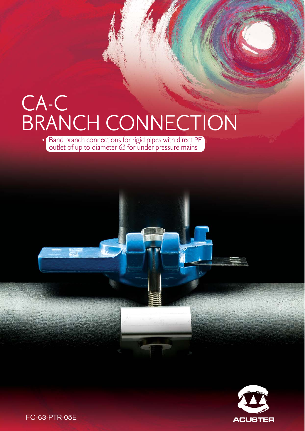# CA-C BRANCH CONNECTION

Band branch connections for rigid pipes with direct PE outlet of up to diameter 63 for under pressure mains



FC-63-PTR-05E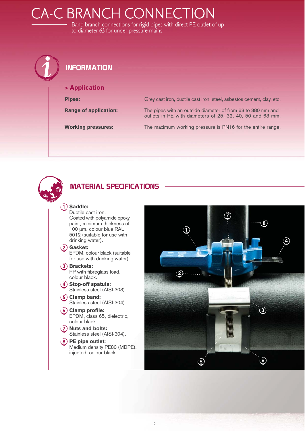## CA-C BRANCH CONNECTION

Band branch connections for rigid pipes with direct PE outlet of up to diameter 63 for under pressure mains





#### **-** Saddle:

Ductile cast iron. Coated with polyamide epoxy paint, minimum thickness of 100 μm, colour blue RAL 5012 (suitable for use with drinking water).

(2) Gasket: EPDM, colour black (suitable for use with drinking water).

 Brackets: PP with fibreglass load, colour black.

(4) Stop-off spatula: Stainless steel (AISI-303).

- (5) Clamp band: Stainless steel (AISI-304).
- (6) Clamp profile: EPDM, class 65, dielectric, colour black.
- (7) Nuts and bolts: Stainless steel (AISI-304).
- PE pipe outlet: Medium density PE80 (MDPE), injected, colour black.

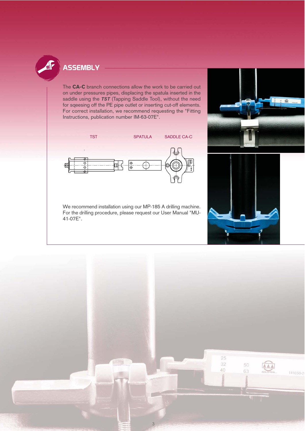

#### **ASSEMBLY**

The CA-C branch connections allow the work to be carried out on under pressures pipes, displacing the spatula inserted in the saddle using the TST (Tapping Saddle Tool), without the need for sqeesing off the PE pipe outlet or inserting cut-off elements. For correct installation, we recommend requesting the "Fitting Instructions, publication number IM-63-07E".



We recommend installation using our MP-185 A drilling machine. For the drilling procedure, please request our User Manual "MU-41-07E".





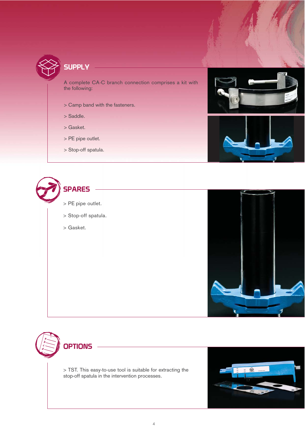

**SUPPLY** 

A complete CA-C branch connection comprises a kit with the following:

- > Camp band with the fasteners.
- > Saddle.
- > Gasket.
- > PE pipe outlet.
- > Stop-off spatula.











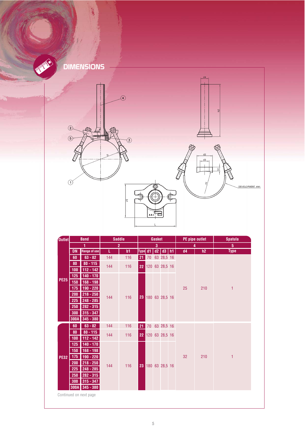

### **DIMENSIONS**



| Outlet                 | <b>Band</b> |                          | <b>Saddle</b>  |     | Gasket         |    |            |                |    | PE pipe outlet |     | <b>Spatula</b>  |  |
|------------------------|-------------|--------------------------|----------------|-----|----------------|----|------------|----------------|----|----------------|-----|-----------------|--|
|                        | 1           |                          | $\overline{2}$ |     | 3              |    |            |                |    | 4              |     | $5\phantom{.0}$ |  |
| <b>PE25</b>            | <b>DN</b>   | <b>Range of use</b>      | L.             | b1  | Type d1        |    |            | $d2$ $d3$      | h1 | d4             | h2  | <b>Type</b>     |  |
|                        | 60          | $63 - 82$                | 144<br>144     | 116 | 21<br>70<br>22 |    | 63 28,5 16 |                |    |                |     |                 |  |
|                        | 80          | $80 - 115$               |                | 116 |                |    |            | 120 63 28,5 16 |    | 25             | 210 | 1               |  |
|                        | 100         | $112 - 142$              |                |     |                |    |            |                |    |                |     |                 |  |
|                        | 125         | 140 - 170                | 144            | 116 | 23             |    |            | 180 63 28,5 16 |    |                |     |                 |  |
|                        | 150         | 168 - 198                |                |     |                |    |            |                |    |                |     |                 |  |
|                        | 175         | $190 - 220$              |                |     |                |    |            |                |    |                |     |                 |  |
|                        | 200         | $218 - 250$              |                |     |                |    |            |                |    |                |     |                 |  |
|                        | 225         | 248 - 285                |                |     |                |    |            |                |    |                |     |                 |  |
|                        | 250         | $282 - 315$              |                |     |                |    |            |                |    |                |     |                 |  |
|                        | 300         | $315 - 347$              |                |     |                |    |            |                |    |                |     |                 |  |
|                        | <b>300A</b> | 345 - 380                |                |     |                |    |            |                |    |                |     |                 |  |
|                        | 60          | $63 - 82$                | 144<br>144     | 116 | 21             | 70 |            | 63 28,5 16     |    | 32             | 210 |                 |  |
|                        | 80          | $80 - 115$               |                | 116 | 22             |    |            | 120 63 28,5 16 |    |                |     |                 |  |
|                        | 100         | $112 - 142$              | 144            | 116 | 23             |    |            | 180 63 28,5 16 |    |                |     |                 |  |
|                        | 125         | 140 - 170                |                |     |                |    |            |                |    |                |     |                 |  |
|                        | 150         | $168 - 198$              |                |     |                |    |            |                |    |                |     | 1               |  |
| <b>PE32</b>            | 175         | 190 - 220                |                |     |                |    |            |                |    |                |     |                 |  |
|                        | 200<br>225  | $218 - 250$              |                |     |                |    |            |                |    |                |     |                 |  |
|                        | 250         | 248 - 285<br>$282 - 315$ |                |     |                |    |            |                |    |                |     |                 |  |
|                        | 300         | $315 - 347$              |                |     |                |    |            |                |    |                |     |                 |  |
|                        |             | $300A$ $345 - 380$       |                |     |                |    |            |                |    |                |     |                 |  |
|                        |             |                          |                |     |                |    |            |                |    |                |     |                 |  |
| Continued on next page |             |                          |                |     |                |    |            |                |    |                |     |                 |  |